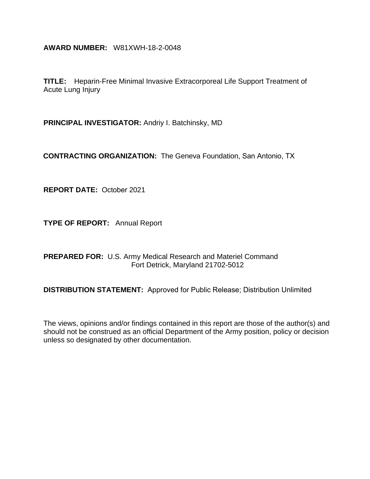**AWARD NUMBER:** W81XWH-18-2-0048

**TITLE:** Heparin-Free Minimal Invasive Extracorporeal Life Support Treatment of Acute Lung Injury

**PRINCIPAL INVESTIGATOR:** Andriy I. Batchinsky, MD

**CONTRACTING ORGANIZATION:** The Geneva Foundation, San Antonio, TX

**REPORT DATE:** October 2021

**TYPE OF REPORT:** Annual Report

**PREPARED FOR:** U.S. Army Medical Research and Materiel Command Fort Detrick, Maryland 21702-5012

**DISTRIBUTION STATEMENT:** Approved for Public Release; Distribution Unlimited

The views, opinions and/or findings contained in this report are those of the author(s) and should not be construed as an official Department of the Army position, policy or decision unless so designated by other documentation.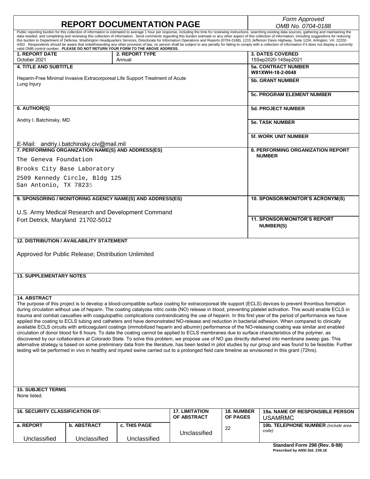| <b>REPORT DOCUMENTATION PAGE</b>                                                        |                                                     |                                                                                |                       |                   | Form Approved<br>OMB No. 0704-0188                                                                                                                                                                                                                                                                                                                                                                                         |  |  |
|-----------------------------------------------------------------------------------------|-----------------------------------------------------|--------------------------------------------------------------------------------|-----------------------|-------------------|----------------------------------------------------------------------------------------------------------------------------------------------------------------------------------------------------------------------------------------------------------------------------------------------------------------------------------------------------------------------------------------------------------------------------|--|--|
|                                                                                         |                                                     |                                                                                |                       |                   | Public reporting burden for this collection of information is estimated to average 1 hour per response, including the time for reviewing instructions, searching existing data sources, gathering and maintaining the                                                                                                                                                                                                      |  |  |
|                                                                                         |                                                     |                                                                                |                       |                   | data needed, and completing and reviewing this collection of information. Send comments regarding this burden estimate or any other aspect of this collection of information, including suggestions for reducing<br>this burden to Department of Defense, Washington Headquarters Services, Directorate for Information Operations and Reports (0704-0188), 1215 Jefferson Davis Highway, Suite 1204, Arlington, VA 22202- |  |  |
|                                                                                         |                                                     | valid OMB control number. PLEASE DO NOT RETURN YOUR FORM TO THE ABOVE ADDRESS. |                       |                   | 4302. Respondents should be aware that notwithstanding any other provision of law, no person shall be subject to any penalty for failing to comply with a collection of information if it does not display a currently                                                                                                                                                                                                     |  |  |
| <b>1. REPORT DATE</b>                                                                   |                                                     | 2. REPORT TYPE                                                                 |                       |                   | <b>3. DATES COVERED</b>                                                                                                                                                                                                                                                                                                                                                                                                    |  |  |
| October 2021                                                                            |                                                     | Annual                                                                         |                       |                   | 15Sep2020-14Sep2021                                                                                                                                                                                                                                                                                                                                                                                                        |  |  |
| <b>4. TITLE AND SUBTITLE</b>                                                            |                                                     |                                                                                |                       |                   | <b>5a. CONTRACT NUMBER</b><br>W81XWH-18-2-0048                                                                                                                                                                                                                                                                                                                                                                             |  |  |
|                                                                                         |                                                     | Heparin-Free Minimal Invasive Extracorporeal Life Support Treatment of Acute   |                       |                   | <b>5b. GRANT NUMBER</b>                                                                                                                                                                                                                                                                                                                                                                                                    |  |  |
| Lung Injury                                                                             |                                                     |                                                                                |                       |                   |                                                                                                                                                                                                                                                                                                                                                                                                                            |  |  |
|                                                                                         |                                                     |                                                                                |                       |                   | <b>5c. PROGRAM ELEMENT NUMBER</b>                                                                                                                                                                                                                                                                                                                                                                                          |  |  |
|                                                                                         |                                                     |                                                                                |                       |                   |                                                                                                                                                                                                                                                                                                                                                                                                                            |  |  |
| 6. AUTHOR(S)                                                                            |                                                     |                                                                                |                       |                   | <b>5d. PROJECT NUMBER</b>                                                                                                                                                                                                                                                                                                                                                                                                  |  |  |
|                                                                                         |                                                     |                                                                                |                       |                   |                                                                                                                                                                                                                                                                                                                                                                                                                            |  |  |
| Andriy I. Batchinsky, MD                                                                |                                                     |                                                                                |                       |                   | <b>5e. TASK NUMBER</b>                                                                                                                                                                                                                                                                                                                                                                                                     |  |  |
|                                                                                         |                                                     |                                                                                |                       |                   |                                                                                                                                                                                                                                                                                                                                                                                                                            |  |  |
|                                                                                         |                                                     |                                                                                |                       |                   | <b>5f. WORK UNIT NUMBER</b>                                                                                                                                                                                                                                                                                                                                                                                                |  |  |
|                                                                                         | E-Mail: andriy.i.batchinsky.civ@mail.mil            |                                                                                |                       |                   |                                                                                                                                                                                                                                                                                                                                                                                                                            |  |  |
|                                                                                         | 7. PERFORMING ORGANIZATION NAME(S) AND ADDRESS(ES)  |                                                                                |                       |                   | 8. PERFORMING ORGANIZATION REPORT                                                                                                                                                                                                                                                                                                                                                                                          |  |  |
| The Geneva Foundation                                                                   |                                                     |                                                                                |                       |                   | <b>NUMBER</b>                                                                                                                                                                                                                                                                                                                                                                                                              |  |  |
| Brooks City Base Laboratory                                                             |                                                     |                                                                                |                       |                   |                                                                                                                                                                                                                                                                                                                                                                                                                            |  |  |
|                                                                                         |                                                     |                                                                                |                       |                   |                                                                                                                                                                                                                                                                                                                                                                                                                            |  |  |
|                                                                                         | 2509 Kennedy Circle, Bldg 125                       |                                                                                |                       |                   |                                                                                                                                                                                                                                                                                                                                                                                                                            |  |  |
| San Antonio, TX 78235                                                                   |                                                     |                                                                                |                       |                   |                                                                                                                                                                                                                                                                                                                                                                                                                            |  |  |
|                                                                                         |                                                     | 9. SPONSORING / MONITORING AGENCY NAME(S) AND ADDRESS(ES)                      |                       |                   | 10. SPONSOR/MONITOR'S ACRONYM(S)                                                                                                                                                                                                                                                                                                                                                                                           |  |  |
|                                                                                         |                                                     |                                                                                |                       |                   |                                                                                                                                                                                                                                                                                                                                                                                                                            |  |  |
|                                                                                         |                                                     |                                                                                |                       |                   |                                                                                                                                                                                                                                                                                                                                                                                                                            |  |  |
| U.S. Army Medical Research and Development Command<br>Fort Detrick, Maryland 21702-5012 |                                                     |                                                                                |                       |                   | <b>11. SPONSOR/MONITOR'S REPORT</b>                                                                                                                                                                                                                                                                                                                                                                                        |  |  |
|                                                                                         |                                                     |                                                                                |                       |                   | <b>NUMBER(S)</b>                                                                                                                                                                                                                                                                                                                                                                                                           |  |  |
|                                                                                         |                                                     |                                                                                |                       |                   |                                                                                                                                                                                                                                                                                                                                                                                                                            |  |  |
|                                                                                         | <b>12. DISTRIBUTION / AVAILABILITY STATEMENT</b>    |                                                                                |                       |                   |                                                                                                                                                                                                                                                                                                                                                                                                                            |  |  |
|                                                                                         |                                                     |                                                                                |                       |                   |                                                                                                                                                                                                                                                                                                                                                                                                                            |  |  |
|                                                                                         | Approved for Public Release; Distribution Unlimited |                                                                                |                       |                   |                                                                                                                                                                                                                                                                                                                                                                                                                            |  |  |
|                                                                                         |                                                     |                                                                                |                       |                   |                                                                                                                                                                                                                                                                                                                                                                                                                            |  |  |
|                                                                                         |                                                     |                                                                                |                       |                   |                                                                                                                                                                                                                                                                                                                                                                                                                            |  |  |
| <b>13. SUPPLEMENTARY NOTES</b>                                                          |                                                     |                                                                                |                       |                   |                                                                                                                                                                                                                                                                                                                                                                                                                            |  |  |
|                                                                                         |                                                     |                                                                                |                       |                   |                                                                                                                                                                                                                                                                                                                                                                                                                            |  |  |
|                                                                                         |                                                     |                                                                                |                       |                   |                                                                                                                                                                                                                                                                                                                                                                                                                            |  |  |
| <b>14. ABSTRACT</b>                                                                     |                                                     |                                                                                |                       |                   |                                                                                                                                                                                                                                                                                                                                                                                                                            |  |  |
|                                                                                         |                                                     |                                                                                |                       |                   | The purpose of this project is to develop a blood-compatible surface coating for extracorporeal life support (ECLS) devices to prevent thrombus formation                                                                                                                                                                                                                                                                  |  |  |
|                                                                                         |                                                     |                                                                                |                       |                   | during circulation without use of heparin. The coating catalyzes nitric oxide (NO) release in blood, preventing platelet activation. This would enable ECLS in<br>trauma and combat casualties with coagulopathic complications contraindicating the use of heparin. In this first year of the period of performance we have                                                                                               |  |  |
|                                                                                         |                                                     |                                                                                |                       |                   | applied the coating to ECLS tubing and catheters and have demonstrated NO-release and reduction in bacterial adhesion. When compared to clinically                                                                                                                                                                                                                                                                         |  |  |
|                                                                                         |                                                     |                                                                                |                       |                   | available ECLS circuits with anticoagulant coatings (immobilized heparin and albumin) performance of the NO-releasing coating was similar and enabled                                                                                                                                                                                                                                                                      |  |  |
|                                                                                         |                                                     |                                                                                |                       |                   | circulation of donor blood for 6 hours. To date the coating cannot be applied to ECLS membranes due to surface characteristics of the polymer, as<br>discovered by our collaborators at Colorado State. To solve this problem, we propose use of NO gas directly delivered into membrane sweep gas. This                                                                                                                   |  |  |
|                                                                                         |                                                     |                                                                                |                       |                   | alternative strategy is based on some preliminary data from the literature, has been tested in pilot studies by our group and was found to be feasible. Further                                                                                                                                                                                                                                                            |  |  |
|                                                                                         |                                                     |                                                                                |                       |                   | testing will be performed in vivo in healthy and injured swine carried out to a prolonged field care timeline as envisioned in this grant (72hrs).                                                                                                                                                                                                                                                                         |  |  |
|                                                                                         |                                                     |                                                                                |                       |                   |                                                                                                                                                                                                                                                                                                                                                                                                                            |  |  |
|                                                                                         |                                                     |                                                                                |                       |                   |                                                                                                                                                                                                                                                                                                                                                                                                                            |  |  |
|                                                                                         |                                                     |                                                                                |                       |                   |                                                                                                                                                                                                                                                                                                                                                                                                                            |  |  |
|                                                                                         |                                                     |                                                                                |                       |                   |                                                                                                                                                                                                                                                                                                                                                                                                                            |  |  |
| <b>15. SUBJECT TERMS</b>                                                                |                                                     |                                                                                |                       |                   |                                                                                                                                                                                                                                                                                                                                                                                                                            |  |  |
| None listed.                                                                            |                                                     |                                                                                |                       |                   |                                                                                                                                                                                                                                                                                                                                                                                                                            |  |  |
|                                                                                         |                                                     |                                                                                |                       |                   |                                                                                                                                                                                                                                                                                                                                                                                                                            |  |  |
| <b>16. SECURITY CLASSIFICATION OF:</b>                                                  |                                                     |                                                                                | <b>17. LIMITATION</b> | <b>18. NUMBER</b> | <b>19a. NAME OF RESPONSIBLE PERSON</b>                                                                                                                                                                                                                                                                                                                                                                                     |  |  |
|                                                                                         |                                                     |                                                                                | OF ABSTRACT           | <b>OF PAGES</b>   | <b>USAMRMC</b>                                                                                                                                                                                                                                                                                                                                                                                                             |  |  |
| a. REPORT                                                                               | <b>b. ABSTRACT</b>                                  | c. THIS PAGE                                                                   |                       |                   | 19b. TELEPHONE NUMBER (include area                                                                                                                                                                                                                                                                                                                                                                                        |  |  |
|                                                                                         |                                                     |                                                                                | Unclassified          | 22                | code)                                                                                                                                                                                                                                                                                                                                                                                                                      |  |  |
| Unclassified                                                                            | Unclassified                                        | Unclassified                                                                   |                       |                   |                                                                                                                                                                                                                                                                                                                                                                                                                            |  |  |
|                                                                                         |                                                     |                                                                                |                       |                   | Standard Form 298 (Rev. 8-98)                                                                                                                                                                                                                                                                                                                                                                                              |  |  |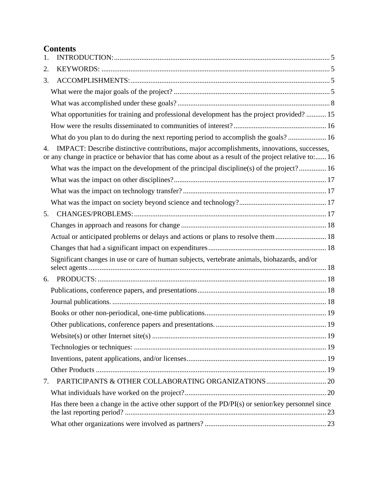# **Contents**

| 1. |                                                                                                                                                                                                    |  |
|----|----------------------------------------------------------------------------------------------------------------------------------------------------------------------------------------------------|--|
| 2. |                                                                                                                                                                                                    |  |
| 3. |                                                                                                                                                                                                    |  |
|    |                                                                                                                                                                                                    |  |
|    |                                                                                                                                                                                                    |  |
|    | What opportunities for training and professional development has the project provided? 15                                                                                                          |  |
|    |                                                                                                                                                                                                    |  |
|    | What do you plan to do during the next reporting period to accomplish the goals?  16                                                                                                               |  |
| 4. | IMPACT: Describe distinctive contributions, major accomplishments, innovations, successes,<br>or any change in practice or behavior that has come about as a result of the project relative to: 16 |  |
|    | What was the impact on the development of the principal discipline(s) of the project? 16                                                                                                           |  |
|    |                                                                                                                                                                                                    |  |
|    |                                                                                                                                                                                                    |  |
|    |                                                                                                                                                                                                    |  |
| 5. |                                                                                                                                                                                                    |  |
|    |                                                                                                                                                                                                    |  |
|    | Actual or anticipated problems or delays and actions or plans to resolve them  18                                                                                                                  |  |
|    |                                                                                                                                                                                                    |  |
|    | Significant changes in use or care of human subjects, vertebrate animals, biohazards, and/or                                                                                                       |  |
| 6. |                                                                                                                                                                                                    |  |
|    |                                                                                                                                                                                                    |  |
|    |                                                                                                                                                                                                    |  |
|    |                                                                                                                                                                                                    |  |
|    |                                                                                                                                                                                                    |  |
|    |                                                                                                                                                                                                    |  |
|    |                                                                                                                                                                                                    |  |
|    |                                                                                                                                                                                                    |  |
|    |                                                                                                                                                                                                    |  |
| 7. |                                                                                                                                                                                                    |  |
|    |                                                                                                                                                                                                    |  |
|    | Has there been a change in the active other support of the PD/PI(s) or senior/key personnel since                                                                                                  |  |
|    |                                                                                                                                                                                                    |  |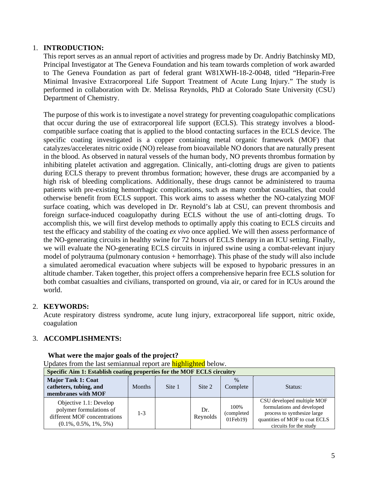## 1. **INTRODUCTION:**

<span id="page-4-0"></span>This report serves as an annual report of activities and progress made by Dr. Andriy Batchinsky MD, Principal Investigator at The Geneva Foundation and his team towards completion of work awarded to The Geneva Foundation as part of federal grant W81XWH-18-2-0048, titled "Heparin-Free Minimal Invasive Extracorporeal Life Support Treatment of Acute Lung Injury." The study is performed in collaboration with Dr. Melissa Reynolds, PhD at Colorado State University (CSU) Department of Chemistry.

The purpose of this work is to investigate a novel strategy for preventing coagulopathic complications that occur during the use of extracorporeal life support (ECLS). This strategy involves a bloodcompatible surface coating that is applied to the blood contacting surfaces in the ECLS device. The specific coating investigated is a copper containing metal organic framework (MOF) that catalyzes/accelerates nitric oxide (NO) release from bioavailable NO donors that are naturally present in the blood. As observed in natural vessels of the human body, NO prevents thrombus formation by inhibiting platelet activation and aggregation. Clinically, anti-clotting drugs are given to patients during ECLS therapy to prevent thrombus formation; however, these drugs are accompanied by a high risk of bleeding complications. Additionally, these drugs cannot be administered to trauma patients with pre-existing hemorrhagic complications, such as many combat casualties, that could otherwise benefit from ECLS support. This work aims to assess whether the NO-catalyzing MOF surface coating, which was developed in Dr. Reynold's lab at CSU, can prevent thrombosis and foreign surface-induced coagulopathy during ECLS without the use of anti-clotting drugs. To accomplish this, we will first develop methods to optimally apply this coating to ECLS circuits and test the efficacy and stability of the coating *ex vivo* once applied. We will then assess performance of the NO-generating circuits in healthy swine for 72 hours of ECLS therapy in an ICU setting. Finally, we will evaluate the NO-generating ECLS circuits in injured swine using a combat-relevant injury model of polytrauma (pulmonary contusion + hemorrhage). This phase of the study will also include a simulated aeromedical evacuation where subjects will be exposed to hypobaric pressures in an altitude chamber. Taken together, this project offers a comprehensive heparin free ECLS solution for both combat casualties and civilians, transported on ground, via air, or cared for in ICUs around the world.

## 2. **KEYWORDS:**

<span id="page-4-1"></span>Acute respiratory distress syndrome, acute lung injury, extracorporeal life support, nitric oxide, coagulation

## <span id="page-4-2"></span>3. **ACCOMPLISHMENTS:**

| Updates from the last semiannual report are <b>highlighted</b> below.                                           |               |        |                 |                                      |                                                                                                                                                     |  |  |
|-----------------------------------------------------------------------------------------------------------------|---------------|--------|-----------------|--------------------------------------|-----------------------------------------------------------------------------------------------------------------------------------------------------|--|--|
| Specific Aim 1: Establish coating properties for the MOF ECLS circuitry                                         |               |        |                 |                                      |                                                                                                                                                     |  |  |
| <b>Major Task 1: Coat</b><br>catheters, tubing, and<br>membranes with MOF                                       | <b>Months</b> | Site 1 | Site 2          | $\%$<br>Complete                     | Status:                                                                                                                                             |  |  |
| Objective 1.1: Develop<br>polymer formulations of<br>different MOF concentrations<br>$(0.1\%, 0.5\%, 1\%, 5\%)$ | $1 - 3$       |        | Dr.<br>Reynolds | 100%<br>(completed)<br>$01$ Feb $19$ | CSU developed multiple MOF<br>formulations and developed<br>process to synthesize large<br>quantities of MOF to coat ECLS<br>circuits for the study |  |  |

#### <span id="page-4-3"></span>**What were the major goals of the project?**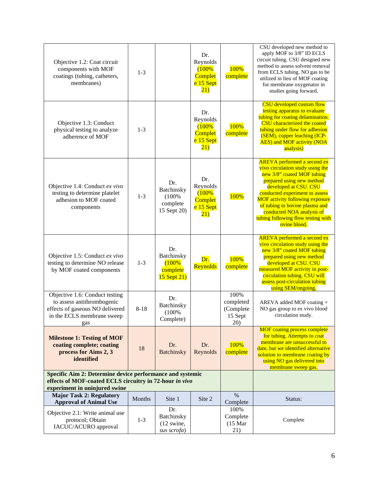| Objective 1.2: Coat circuit<br>components with MOF<br>coatings (tubing, catheters,<br>membranes)                                                      | $1 - 3$  |                                                            | Dr.<br>Reynolds<br>(100%<br>Complet<br>e 15 Sept<br>(21)        | 100%<br>complete                                 | CSU developed new method to<br>apply MOF to 3/8" ID ECLS<br>circuit tubing. CSU designed new<br>method to assess solvent removal<br>from ECLS tubing. NO gas to be<br>utilized in lieu of MOF coating<br>for membrane oxygenator in<br>studies going forward.                                                                                               |
|-------------------------------------------------------------------------------------------------------------------------------------------------------|----------|------------------------------------------------------------|-----------------------------------------------------------------|--------------------------------------------------|-------------------------------------------------------------------------------------------------------------------------------------------------------------------------------------------------------------------------------------------------------------------------------------------------------------------------------------------------------------|
| Objective 1.3: Conduct<br>physical testing to analyze<br>adherence of MOF                                                                             | $1 - 3$  |                                                            | Dr.<br>Reynolds<br>(100%<br>Complet<br>e 15 Sept<br>(21)        | 100%<br>complete                                 | CSU developed custom flow<br>testing apparatus to evaluate<br>tubing for coating delamination.<br>CSU characterized the coated<br>tubing under flow for adhesion<br>(SEM), copper leaching (ICP-<br><b>AES</b> ) and MOF activity (NOA<br>analysis)                                                                                                         |
| Objective 1.4: Conduct ex vivo<br>testing to determine platelet<br>adhesion to MOF coated<br>components                                               | $1 - 3$  | Dr.<br>Batchinsky<br>(100%<br>complete<br>15 Sept 20)      | Dr.<br>Reynolds<br>(100%<br><b>Complet</b><br>e 15 Sept<br>(21) | 100%                                             | <b>AREVA</b> performed a second ex<br>vivo circulation study using the<br>new 3/8" coated MOF tubing<br>prepared using new method<br>developed at CSU. CSU<br>conducted experiment to assess<br><b>MOF activity following exposure</b><br>of tubing to bovine plasma and<br>conducted NOA analysis of<br>tubing following flow testing with<br>ovine blood. |
| Objective 1.5: Conduct ex vivo<br>testing to determine NO release<br>by MOF coated components                                                         | $1 - 3$  | Dr.<br>Batchinsky<br>(100%<br>complete<br>$15$ Sept $21$ ) | Dr.<br>Reynolds                                                 | 100%<br>complete                                 | <b>AREVA</b> performed a second ex<br>vivo circulation study using the<br>new 3/8" coated MOF tubing<br>prepared using new method<br>developed at CSU. CSU<br>measured MOF activity in post-<br>circulation tubing. CSU will<br>assess post-circulation tubing<br>using SEM/ongoing.                                                                        |
| Objective 1.6: Conduct testing<br>to assess antithrombogenic<br>effects of gaseous NO delivered<br>in the ECLS membrane sweep<br>gas                  | $8 - 18$ | Dr.<br>Batchinsky<br>(100%<br>Complete)                    |                                                                 | 100%<br>completed<br>(Complete<br>15 Sept<br>20) | AREVA added MOF coating +<br>NO gas group to ex vivo blood<br>circulation study.                                                                                                                                                                                                                                                                            |
| <b>Milestone 1: Testing of MOF</b><br>coating complete; coating<br>process for Aims 2, 3<br>identified                                                | 18       | Dr.<br>Batchinsky                                          | Dr.<br>Reynolds                                                 | 100%<br>complete                                 | <b>MOF</b> coating process complete<br>for tubing. Attempts to coat<br>membrane are unsuccessful to<br>date, but we identified alternative<br>solution to membrane coating by<br>using NO gas delivered into<br>membrane sweep gas.                                                                                                                         |
| Specific Aim 2: Determine device performance and systemic<br>effects of MOF-coated ECLS circuitry in 72-hour in vivo<br>experiment in uninjured swine |          |                                                            |                                                                 |                                                  |                                                                                                                                                                                                                                                                                                                                                             |
| <b>Major Task 2: Regulatory</b><br><b>Approval of Animal Use</b>                                                                                      | Months   | Site 1                                                     | Site 2                                                          | $\%$<br>Complete                                 | Status:                                                                                                                                                                                                                                                                                                                                                     |
| Objective 2.1: Write animal use<br>protocol; Obtain<br>IACUC/ACURO approval                                                                           | $1 - 3$  | Dr.<br>Batchinsky<br>$(12 \text{ swine})$<br>sus scrofa)   |                                                                 | 100%<br>Complete<br>$(15 \text{ Mar})$<br>21)    | Complete                                                                                                                                                                                                                                                                                                                                                    |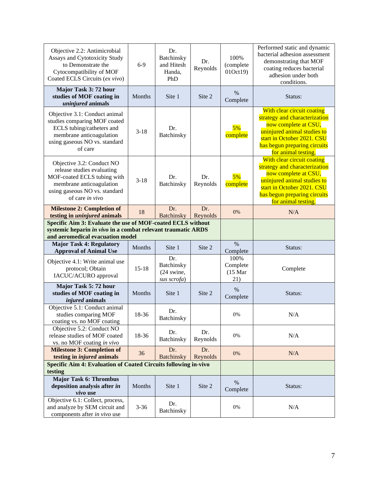| Objective 2.2: Antimicrobial<br>Assays and Cytotoxicity Study<br>to Demonstrate the<br>Cytocompatibility of MOF<br>Coated ECLS Circuits (ex vivo)                      | $6-9$     | Dr.<br>Batchinsky<br>and Hitesh<br>Handa,<br>PhD         | Dr.<br>Reynolds | 100%<br>(complete<br>01Oct19)                 | Performed static and dynamic<br>bacterial adhesion assessment<br>demonstrating that MOF<br>coating reduces bacterial<br>adhesion under both<br>conditions.                                              |
|------------------------------------------------------------------------------------------------------------------------------------------------------------------------|-----------|----------------------------------------------------------|-----------------|-----------------------------------------------|---------------------------------------------------------------------------------------------------------------------------------------------------------------------------------------------------------|
| Major Task 3: 72 hour<br>studies of MOF coating in<br>uninjured animals                                                                                                | Months    | Site 1                                                   | Site 2          | $\frac{0}{0}$<br>Complete                     | Status:                                                                                                                                                                                                 |
| Objective 3.1: Conduct animal<br>studies comparing MOF coated<br>ECLS tubing/catheters and<br>membrane anticoagulation<br>using gaseous NO vs. standard<br>of care     | $3 - 18$  | Dr.<br>Batchinsky                                        |                 | 5%<br>complete                                | With clear circuit coating<br>strategy and characterization<br>now complete at CSU,<br>uninjured animal studies to<br>start in October 2021. CSU<br>has begun preparing circuits<br>for animal testing. |
| Objective 3.2: Conduct NO<br>release studies evaluating<br>MOF-coated ECLS tubing with<br>membrane anticoagulation<br>using gaseous NO vs. standard<br>of care in vivo | $3 - 18$  | Dr.<br>Batchinsky                                        | Dr.<br>Reynolds | 5%<br>complete                                | With clear circuit coating<br>strategy and characterization<br>now complete at CSU,<br>uninjured animal studies to<br>start in October 2021. CSU<br>has begun preparing circuits<br>for animal testing. |
| <b>Milestone 2: Completion of</b><br>testing in <i>uninjured</i> animals                                                                                               | 18        | Dr.<br><b>Batchinsky</b>                                 | Dr.<br>Reynolds | 0%                                            | N/A                                                                                                                                                                                                     |
| Specific Aim 3: Evaluate the use of MOF-coated ECLS without<br>systemic heparin in vivo in a combat relevant traumatic ARDS<br>and aeromedical evacuation model        |           |                                                          |                 |                                               |                                                                                                                                                                                                         |
| <b>Major Task 4: Regulatory</b><br><b>Approval of Animal Use</b>                                                                                                       | Months    | Site 1                                                   | Site 2          | $\%$<br>Complete                              | Status:                                                                                                                                                                                                 |
| Objective 4.1: Write animal use<br>protocol; Obtain<br>IACUC/ACURO approval                                                                                            | $15 - 18$ | Dr.<br>Batchinsky<br>$(24 \text{ swine})$<br>sus scrofa) |                 | 100%<br>Complete<br>$(15 \text{ Mar})$<br>21) | Complete                                                                                                                                                                                                |
| Major Task 5: 72 hour<br>studies of MOF coating in<br><i>injured</i> animals                                                                                           | Months    | Site 1                                                   | Site 2          | $\%$<br>Complete                              | Status:                                                                                                                                                                                                 |
| Objective 5.1: Conduct animal<br>studies comparing MOF<br>coating vs. no MOF coating                                                                                   | 18-36     | Dr.<br>Batchinsky                                        |                 | $0\%$                                         | N/A                                                                                                                                                                                                     |
| Objective 5.2: Conduct NO<br>release studies of MOF coated<br>vs. no MOF coating in vivo                                                                               | 18-36     | Dr.<br>Batchinsky                                        | Dr.<br>Reynolds | $0\%$                                         | N/A                                                                                                                                                                                                     |
| <b>Milestone 3: Completion of</b><br>testing in <i>injured</i> animals                                                                                                 | 36        | Dr.<br><b>Batchinsky</b>                                 | Dr.<br>Reynolds | $0\%$                                         | N/A                                                                                                                                                                                                     |
| <b>Specific Aim 4: Evaluation of Coated Circuits following in-vivo</b><br>testing                                                                                      |           |                                                          |                 |                                               |                                                                                                                                                                                                         |
| <b>Major Task 6: Thrombus</b><br>deposition analysis after in<br>vivo use                                                                                              | Months    | Site 1                                                   | Site 2          | $\%$<br>Complete                              | Status:                                                                                                                                                                                                 |
| Objective 6.1: Collect, process,<br>and analyze by SEM circuit and<br>components after in vivo use                                                                     | $3 - 36$  | Dr.<br>Batchinsky                                        |                 | $0\%$                                         | N/A                                                                                                                                                                                                     |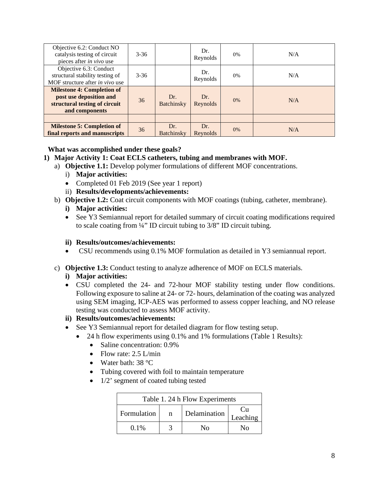| Objective 6.2: Conduct NO<br>catalysis testing of circuit<br>pieces after in vivo use                           | $3 - 36$ |                          | Dr.<br>Reynolds | 0% | N/A |
|-----------------------------------------------------------------------------------------------------------------|----------|--------------------------|-----------------|----|-----|
| Objective 6.3: Conduct<br>structural stability testing of<br>MOF structure after <i>in vivo</i> use             | $3 - 36$ |                          | Dr.<br>Reynolds | 0% | N/A |
| <b>Milestone 4: Completion of</b><br>post use deposition and<br>structural testing of circuit<br>and components | 36       | Dr.<br><b>Batchinsky</b> | Dr.<br>Reynolds | 0% | N/A |
|                                                                                                                 |          |                          |                 |    |     |
| <b>Milestone 5: Completion of</b><br>final reports and manuscripts                                              | 36       | Dr.<br>Batchinsky        | Dr.<br>Reynolds | 0% | N/A |

## <span id="page-7-0"></span>**What was accomplished under these goals?**

## **1) Major Activity 1: Coat ECLS catheters, tubing and membranes with MOF.**

- a) **Objective 1.1:** Develop polymer formulations of different MOF concentrations.
	- i) **Major activities:**
	- Completed 01 Feb 2019 (See year 1 report)
	- ii) **Results/developments/achievements:**
- b) **Objective 1.2:** Coat circuit components with MOF coatings (tubing, catheter, membrane).
	- **i) Major activities:**
	- See Y3 Semiannual report for detailed summary of circuit coating modifications required to scale coating from ¼" ID circuit tubing to 3/8" ID circuit tubing.

#### **ii) Results/outcomes/achievements:**

- CSU recommends using 0.1% MOF formulation as detailed in Y3 semiannual report.
- c) **Objective 1.3:** Conduct testing to analyze adherence of MOF on ECLS materials.
	- **i) Major activities:**
	- CSU completed the 24- and 72-hour MOF stability testing under flow conditions. Following exposure to saline at 24- or 72- hours, delamination of the coating was analyzed using SEM imaging, ICP-AES was performed to assess copper leaching, and NO release testing was conducted to assess MOF activity.
	- **ii) Results/outcomes/achievements:**
	- See Y3 Semiannual report for detailed diagram for flow testing setup.
		- 24 h flow experiments using 0.1% and 1% formulations (Table 1 Results):
			- Saline concentration: 0.9%
			- Flow rate:  $2.5$  L/min
			- Water bath: 38 °C
			- Tubing covered with foil to maintain temperature
			- 1/2' segment of coated tubing tested

| Table 1. 24 h Flow Experiments |   |              |                  |  |  |  |
|--------------------------------|---|--------------|------------------|--|--|--|
| Formulation                    | n | Delamination | C 11<br>Leaching |  |  |  |
| $0.1\%$                        |   | Nο           | N٥               |  |  |  |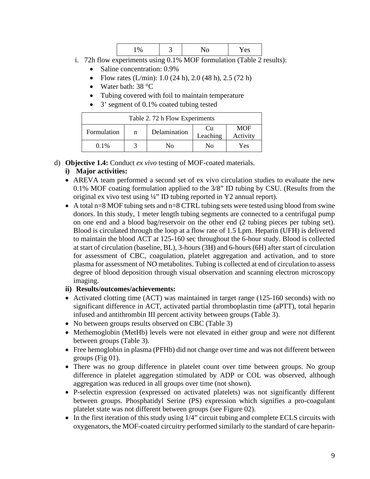- i. 72h flow experiments using 0.1% MOF formulation (Table 2 results):
	- Saline concentration:  $0.9\%$
	- Flow rates  $(L/min)$ : 1.0 (24 h), 2.0 (48 h), 2.5 (72 h)
	- Water bath: 38 °C
	- Tubing covered with foil to maintain temperature
	- 3' segment of 0.1% coated tubing tested

| Table 2.72 h Flow Experiments                                                |  |    |    |     |  |  |
|------------------------------------------------------------------------------|--|----|----|-----|--|--|
| <b>MOF</b><br>Cп<br>Delamination<br>Formulation<br>n<br>Leaching<br>Activity |  |    |    |     |  |  |
| $0.1\%$                                                                      |  | Nο | Nο | Yes |  |  |

d) **Objective 1.4:** Conduct *ex vivo* testing of MOF-coated materials.

## **i) Major activities:**

- AREVA team performed a second set of ex vivo circulation studies to evaluate the new 0.1% MOF coating formulation applied to the 3/8" ID tubing by CSU. (Results from the original ex vivo test using ¼" ID tubing reported in Y2 annual report).
- A total  $n=8$  MOF tubing sets and  $n=8$  CTRL tubing sets were tested using blood from swine donors. In this study, 1 meter length tubing segments are connected to a centrifugal pump on one end and a blood bag/reservoir on the other end (2 tubing pieces per tubing set). Blood is circulated through the loop at a flow rate of 1.5 Lpm. Heparin (UFH) is delivered to maintain the blood ACT at 125-160 sec throughout the 6-hour study. Blood is collected at start of circulation (baseline, BL), 3-hours (3H) and 6-hours (6H) after start of circulation for assessment of CBC, coagulation, platelet aggregation and activation, and to store plasma for assessment of NO metabolites. Tubing is collected at end of circulation to assess degree of blood deposition through visual observation and scanning electron microscopy imaging.

## **ii) Results/outcomes/achievements:**

- Activated clotting time (ACT) was maintained in target range (125-160 seconds) with no significant difference in ACT, activated partial thromboplastin time (aPTT), total heparin infused and antithrombin III percent activity between groups (Table 3).
- No between groups results observed on CBC (Table 3)
- Methemoglobin (MetHb) levels were not elevated in either group and were not different between groups (Table 3).
- Free hemoglobin in plasma (PFHb) did not change over time and was not different between groups (Fig 01).
- There was no group difference in platelet count over time between groups. No group difference in platelet aggregation stimulated by ADP or COL was observed, although aggregation was reduced in all groups over time (not shown).
- P-selectin expression (expressed on activated platelets) was not significantly different between groups. Phosphatidyl Serine (PS) expression which signifies a pro-coagulant platelet state was not different between groups (see Figure 02).
- In the first iteration of this study using  $1/4$ " circuit tubing and complete ECLS circuits with oxygenators, the MOF-coated circuitry performed similarly to the standard of care heparin-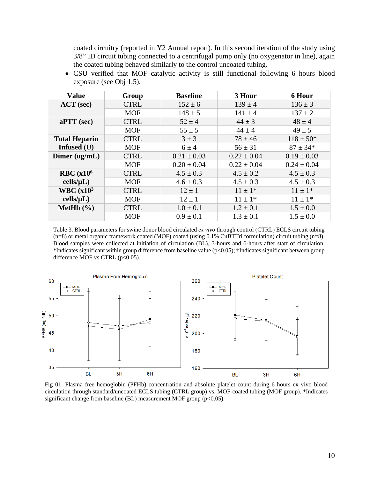coated circuitry (reported in Y2 Annual report). In this second iteration of the study using 3/8" ID circuit tubing connected to a centrifugal pump only (no oxygenator in line), again the coated tubing behaved similarly to the control uncoated tubing.

| <b>Value</b>           | Group       | <b>Baseline</b> | 3 Hour          | <b>6 Hour</b>   |
|------------------------|-------------|-----------------|-----------------|-----------------|
| $ACT$ (sec)            | <b>CTRL</b> | $152 \pm 6$     | $139 \pm 4$     | $136 \pm 3$     |
|                        | <b>MOF</b>  | $148 \pm 5$     | $141 \pm 4$     | $137 \pm 2$     |
| $aPTT$ (sec)           | <b>CTRL</b> | $52 \pm 4$      | $44 \pm 3$      | $48 \pm 4$      |
|                        | <b>MOF</b>  | $55 \pm 5$      | $44 \pm 4$      | $49 \pm 5$      |
| <b>Total Heparin</b>   | <b>CTRL</b> | $3 \pm 3$       | $78 \pm 46$     | $118 \pm 50*$   |
| Infused (U)            | <b>MOF</b>  | $6 \pm 4$       | $56 \pm 31$     | $87 \pm 34*$    |
| Dimer $(ug/mL)$        | <b>CTRL</b> | $0.21 \pm 0.03$ | $0.22 \pm 0.04$ | $0.19 \pm 0.03$ |
|                        | <b>MOF</b>  | $0.20 \pm 0.04$ | $0.22 \pm 0.04$ | $0.24 \pm 0.04$ |
| RBC(x10 <sup>6</sup> ) | <b>CTRL</b> | $4.5 \pm 0.3$   | $4.5 \pm 0.2$   | $4.5 \pm 0.3$   |
| cells/µL)              | <b>MOF</b>  | $4.6 \pm 0.3$   | $4.5 \pm 0.3$   | $4.5 \pm 0.3$   |
| WBC $(x10^3$           | <b>CTRL</b> | $12 \pm 1$      | $11 \pm 1*$     | $11 \pm 1*$     |
| cells/µL)              | <b>MOF</b>  | $12 \pm 1$      | $11 \pm 1*$     | $11 \pm 1*$     |
| MetHb $(\% )$          | <b>CTRL</b> | $1.0 \pm 0.1$   | $1.2 \pm 0.1$   | $1.5 \pm 0.0$   |
|                        | <b>MOF</b>  | $0.9 \pm 0.1$   | $1.3 \pm 0.1$   | $1.5 \pm 0.0$   |

• CSU verified that MOF catalytic activity is still functional following 6 hours blood exposure (see Obj 1.5).

Table 3. Blood parameters for swine donor blood circulated *ex vivo* through control (CTRL) ECLS circuit tubing (n=8) or metal organic framework coated (MOF) coated (using 0.1% CuBTTri formulation) circuit tubing (n=8). Blood samples were collected at initiation of circulation (BL), 3-hours and 6-hours after start of circulation. \*Indicates significant within group difference from baseline value (p<0.05); †Indicates significant between group difference MOF vs CTRL  $(p<0.05)$ .



Fig 01. Plasma free hemoglobin (PFHb) concentration and absolute platelet count during 6 hours ex vivo blood circulation through standard/uncoated ECLS tubing (CTRL group) vs. MOF-coated tubing (MOF group). \*Indicates significant change from baseline (BL) measurement MOF group (p<0.05).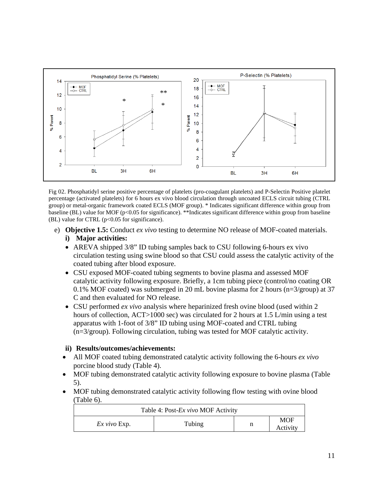

Fig 02. Phosphatidyl serine positive percentage of platelets (pro-coagulant platelets) and P-Selectin Positive platelet percentage (activated platelets) for 6 hours ex vivo blood circulation through uncoated ECLS circuit tubing (CTRL group) or metal-organic framework coated ECLS (MOF group). \* Indicates significant difference within group from baseline (BL) value for MOF (p<0.05 for significance). \*\*Indicates significant difference within group from baseline (BL) value for CTRL ( $p<0.05$  for significance).

- e) **Objective 1.5:** Conduct *ex vivo* testing to determine NO release of MOF-coated materials. **i) Major activities:**
	- AREVA shipped 3/8" ID tubing samples back to CSU following 6-hours ex vivo circulation testing using swine blood so that CSU could assess the catalytic activity of the coated tubing after blood exposure.
	- CSU exposed MOF-coated tubing segments to bovine plasma and assessed MOF catalytic activity following exposure. Briefly, a 1cm tubing piece (control/no coating OR 0.1% MOF coated) was submerged in 20 mL bovine plasma for 2 hours (n=3/group) at 37 C and then evaluated for NO release.
	- CSU performed *ex vivo* analysis where heparinized fresh ovine blood (used within 2 hours of collection, ACT>1000 sec) was circulated for 2 hours at 1.5 L/min using a test apparatus with 1-foot of 3/8" ID tubing using MOF-coated and CTRL tubing (n=3/group). Following circulation, tubing was tested for MOF catalytic activity.

## **ii) Results/outcomes/achievements:**

- All MOF coated tubing demonstrated catalytic activity following the 6-hours *ex vivo* porcine blood study (Table 4).
- MOF tubing demonstrated catalytic activity following exposure to bovine plasma (Table 5).
- MOF tubing demonstrated catalytic activity following flow testing with ovine blood (Table 6).

| Table 4: Post- <i>Ex vivo</i> MOF Activity |        |   |                 |  |  |  |
|--------------------------------------------|--------|---|-----------------|--|--|--|
| $Ex$ vivo $Exp.$                           | Tubing | n | MOF<br>Activity |  |  |  |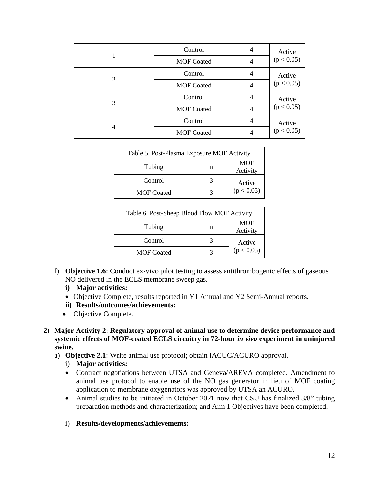|   | Control           | $\overline{4}$ | Active<br>(p < 0.05) |
|---|-------------------|----------------|----------------------|
|   | <b>MOF Coated</b> | 4              |                      |
| 2 | Control           | 4              | Active<br>(p < 0.05) |
|   | <b>MOF Coated</b> | 4              |                      |
| 3 | Control           | 4              | Active<br>(p < 0.05) |
|   | <b>MOF Coated</b> | 4              |                      |
| 4 | Control           |                | Active<br>(p < 0.05) |
|   | <b>MOF Coated</b> |                |                      |

| Table 5. Post-Plasma Exposure MOF Activity |   |                        |  |  |
|--------------------------------------------|---|------------------------|--|--|
| Tubing                                     | n | <b>MOF</b><br>Activity |  |  |
| Control                                    |   | Active<br>(p < 0.05)   |  |  |
| <b>MOF</b> Coated                          |   |                        |  |  |

| Table 6. Post-Sheep Blood Flow MOF Activity |   |                        |  |  |
|---------------------------------------------|---|------------------------|--|--|
| Tubing                                      | n | <b>MOF</b><br>Activity |  |  |
| Control                                     |   | Active<br>(p < 0.05)   |  |  |
| <b>MOF Coated</b>                           |   |                        |  |  |

- f) **Objective 1.6:** Conduct ex-vivo pilot testing to assess antithrombogenic effects of gaseous NO delivered in the ECLS membrane sweep gas.
	- **i) Major activities:**
	- Objective Complete, results reported in Y1 Annual and Y2 Semi-Annual reports.
	- **ii) Results/outcomes/achievements:**
	- Objective Complete.
- **2) Major Activity 2: Regulatory approval of animal use to determine device performance and systemic effects of MOF-coated ECLS circuitry in 72-hour** *in vivo* **experiment in uninjured swine.**
	- a) **Objective 2.1:** Write animal use protocol; obtain IACUC/ACURO approval.
		- i) **Major activities:**
		- Contract negotiations between UTSA and Geneva/AREVA completed. Amendment to animal use protocol to enable use of the NO gas generator in lieu of MOF coating application to membrane oxygenators was approved by UTSA an ACURO.
		- Animal studies to be initiated in October 2021 now that CSU has finalized 3/8" tubing preparation methods and characterization; and Aim 1 Objectives have been completed.
		- i) **Results/developments/achievements:**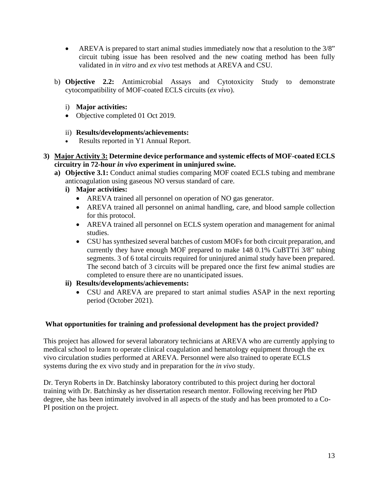- AREVA is prepared to start animal studies immediately now that a resolution to the 3/8" circuit tubing issue has been resolved and the new coating method has been fully validated in *in vitro* and *ex vivo* test methods at AREVA and CSU.
- b) **Objective 2.2:** Antimicrobial Assays and Cytotoxicity Study to demonstrate cytocompatibility of MOF-coated ECLS circuits (*ex vivo*).
	- i) **Major activities:**
	- Objective completed 01 Oct 2019.
	- ii) **Results/developments/achievements:**
	- Results reported in Y1 Annual Report.
- **3) Major Activity 3: Determine device performance and systemic effects of MOF-coated ECLS circuitry in 72-hour** *in vivo* **experiment in uninjured swine.**
	- **a) Objective 3.1:** Conduct animal studies comparing MOF coated ECLS tubing and membrane anticoagulation using gaseous NO versus standard of care.
		- **i) Major activities:**
			- AREVA trained all personnel on operation of NO gas generator.
			- AREVA trained all personnel on animal handling, care, and blood sample collection for this protocol.
			- AREVA trained all personnel on ECLS system operation and management for animal studies.
			- CSU has synthesized several batches of custom MOFs for both circuit preparation, and currently they have enough MOF prepared to make 148 0.1% CuBTTri 3/8" tubing segments. 3 of 6 total circuits required for uninjured animal study have been prepared. The second batch of 3 circuits will be prepared once the first few animal studies are completed to ensure there are no unanticipated issues.
		- **ii) Results/developments/achievements:**
			- CSU and AREVA are prepared to start animal studies ASAP in the next reporting period (October 2021).

## <span id="page-12-0"></span>**What opportunities for training and professional development has the project provided?**

This project has allowed for several laboratory technicians at AREVA who are currently applying to medical school to learn to operate clinical coagulation and hematology equipment through the ex vivo circulation studies performed at AREVA. Personnel were also trained to operate ECLS systems during the ex vivo study and in preparation for the *in vivo* study.

Dr. Teryn Roberts in Dr. Batchinsky laboratory contributed to this project during her doctoral training with Dr. Batchinsky as her dissertation research mentor. Following receiving her PhD degree, she has been intimately involved in all aspects of the study and has been promoted to a Co-PI position on the project.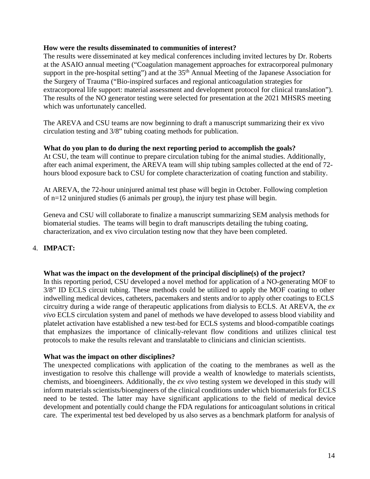#### <span id="page-13-0"></span>**How were the results disseminated to communities of interest?**

The results were disseminated at key medical conferences including invited lectures by Dr. Roberts at the ASAIO annual meeting ("Coagulation management approaches for extracorporeal pulmonary support in the pre-hospital setting") and at the 35<sup>th</sup> Annual Meeting of the Japanese Association for the Surgery of Trauma ("Bio-inspired surfaces and regional anticoagulation strategies for extracorporeal life support: material assessment and development protocol for clinical translation"). The results of the NO generator testing were selected for presentation at the 2021 MHSRS meeting which was unfortunately cancelled.

The AREVA and CSU teams are now beginning to draft a manuscript summarizing their ex vivo circulation testing and 3/8" tubing coating methods for publication.

#### <span id="page-13-1"></span>**What do you plan to do during the next reporting period to accomplish the goals?**

At CSU, the team will continue to prepare circulation tubing for the animal studies. Additionally, after each animal experiment, the AREVA team will ship tubing samples collected at the end of 72 hours blood exposure back to CSU for complete characterization of coating function and stability.

At AREVA, the 72-hour uninjured animal test phase will begin in October. Following completion of n=12 uninjured studies (6 animals per group), the injury test phase will begin.

Geneva and CSU will collaborate to finalize a manuscript summarizing SEM analysis methods for biomaterial studies. The teams will begin to draft manuscripts detailing the tubing coating, characterization, and ex vivo circulation testing now that they have been completed.

## <span id="page-13-2"></span>4. **IMPACT:**

#### **What was the impact on the development of the principal discipline(s) of the project?**

<span id="page-13-3"></span>In this reporting period, CSU developed a novel method for application of a NO-generating MOF to 3/8" ID ECLS circuit tubing. These methods could be utilized to apply the MOF coating to other indwelling medical devices, catheters, pacemakers and stents and/or to apply other coatings to ECLS circuitry during a wide range of therapeutic applications from dialysis to ECLS. At AREVA, the *ex vivo* ECLS circulation system and panel of methods we have developed to assess blood viability and platelet activation have established a new test-bed for ECLS systems and blood-compatible coatings that emphasizes the importance of clinically-relevant flow conditions and utilizes clinical test protocols to make the results relevant and translatable to clinicians and clinician scientists.

#### **What was the impact on other disciplines?**

<span id="page-13-4"></span>The unexpected complications with application of the coating to the membranes as well as the investigation to resolve this challenge will provide a wealth of knowledge to materials scientists, chemists, and bioengineers. Additionally, the *ex vivo* testing system we developed in this study will inform materials scientists/bioengineers of the clinical conditions under which biomaterials for ECLS need to be tested. The latter may have significant applications to the field of medical device development and potentially could change the FDA regulations for anticoagulant solutions in critical care. The experimental test bed developed by us also serves as a benchmark platform for analysis of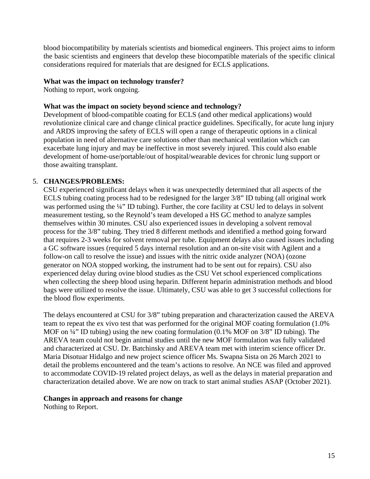blood biocompatibility by materials scientists and biomedical engineers. This project aims to inform the basic scientists and engineers that develop these biocompatible materials of the specific clinical considerations required for materials that are designed for ECLS applications.

### <span id="page-14-0"></span>**What was the impact on technology transfer?**

Nothing to report, work ongoing.

### <span id="page-14-1"></span>**What was the impact on society beyond science and technology?**

Development of blood-compatible coating for ECLS (and other medical applications) would revolutionize clinical care and change clinical practice guidelines. Specifically, for acute lung injury and ARDS improving the safety of ECLS will open a range of therapeutic options in a clinical population in need of alternative care solutions other than mechanical ventilation which can exacerbate lung injury and may be ineffective in most severely injured. This could also enable development of home-use/portable/out of hospital/wearable devices for chronic lung support or those awaiting transplant.

## 5. **CHANGES/PROBLEMS:**

<span id="page-14-2"></span>CSU experienced significant delays when it was unexpectedly determined that all aspects of the ECLS tubing coating process had to be redesigned for the larger 3/8" ID tubing (all original work was performed using the ¼" ID tubing). Further, the core facility at CSU led to delays in solvent measurement testing, so the Reynold's team developed a HS GC method to analyze samples themselves within 30 minutes. CSU also experienced issues in developing a solvent removal process for the 3/8" tubing. They tried 8 different methods and identified a method going forward that requires 2-3 weeks for solvent removal per tube. Equipment delays also caused issues including a GC software issues (required 5 days internal resolution and an on-site visit with Agilent and a follow-on call to resolve the issue) and issues with the nitric oxide analyzer (NOA) (ozone generator on NOA stopped working, the instrument had to be sent out for repairs). CSU also experienced delay during ovine blood studies as the CSU Vet school experienced complications when collecting the sheep blood using heparin. Different heparin administration methods and blood bags were utilized to resolve the issue. Ultimately, CSU was able to get 3 successful collections for the blood flow experiments.

The delays encountered at CSU for 3/8" tubing preparation and characterization caused the AREVA team to repeat the ex vivo test that was performed for the original MOF coating formulation (1.0% MOF on  $\frac{1}{4}$ " ID tubing) using the new coating formulation (0.1% MOF on 3/8" ID tubing). The AREVA team could not begin animal studies until the new MOF formulation was fully validated and characterized at CSU. Dr. Batchinsky and AREVA team met with interim science officer Dr. Maria Disotuar Hidalgo and new project science officer Ms. Swapna Sista on 26 March 2021 to detail the problems encountered and the team's actions to resolve. An NCE was filed and approved to accommodate COVID-19 related project delays, as well as the delays in material preparation and characterization detailed above. We are now on track to start animal studies ASAP (October 2021).

#### <span id="page-14-3"></span>**Changes in approach and reasons for change**

Nothing to Report.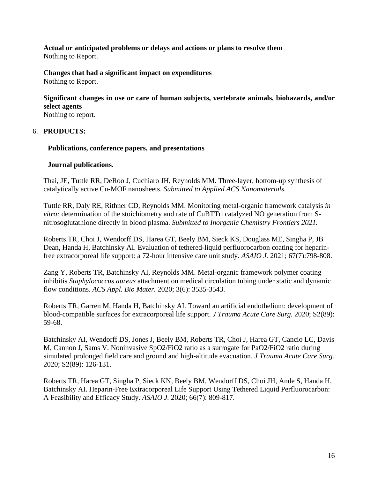<span id="page-15-0"></span>**Actual or anticipated problems or delays and actions or plans to resolve them**  Nothing to Report.

<span id="page-15-2"></span><span id="page-15-1"></span>**Changes that had a significant impact on expenditures** Nothing to Report.

**Significant changes in use or care of human subjects, vertebrate animals, biohazards, and/or select agents**

Nothing to report.

## <span id="page-15-3"></span>6. **PRODUCTS:**

## <span id="page-15-4"></span>**Publications, conference papers, and presentations**

### <span id="page-15-5"></span>**Journal publications.**

Thai, JE, Tuttle RR, DeRoo J, Cuchiaro JH, Reynolds MM. Three-layer, bottom-up synthesis of catalytically active Cu-MOF nanosheets. *Submitted to Applied ACS Nanomaterials.* 

Tuttle RR, Daly RE, Rithner CD, Reynolds MM. Monitoring metal-organic framework catalysis *in vitro:* determination of the stoichiometry and rate of CuBTTri catalyzed NO generation from Snitrosoglutathione directly in blood plasma. *Submitted to Inorganic Chemistry Frontiers 2021.* 

Roberts TR, Choi J, Wendorff DS, Harea GT, Beely BM, Sieck KS, Douglass ME, Singha P, JB Dean, Handa H, Batchinsky AI. Evaluation of tethered-liquid perfluorocarbon coating for heparinfree extracorporeal life support: a 72-hour intensive care unit study. *ASAIO J.* 2021; 67(7):798-808.

Zang Y, Roberts TR, Batchinsky AI, Reynolds MM. Metal-organic framework polymer coating inhibitis *Staphylococcus aureus* attachment on medical circulation tubing under static and dynamic flow conditions. *ACS Appl. Bio Mater.* 2020; 3(6): 3535-3543.

Roberts TR, Garren M, Handa H, Batchinsky AI. Toward an artificial endothelium: development of blood-compatible surfaces for extracorporeal life support. *J Trauma Acute Care Surg.* 2020; S2(89): 59-68.

Batchinsky AI, Wendorff DS, Jones J, Beely BM, Roberts TR, Choi J, Harea GT, Cancio LC, Davis M, Cannon J, Sams V. Noninvasive SpO2/FiO2 ratio as a surrogate for PaO2/FiO2 ratio during simulated prolonged field care and ground and high-altitude evacuation. *J Trauma Acute Care Surg.*  2020; S2(89): 126-131.

Roberts TR, Harea GT, Singha P, Sieck KN, Beely BM, Wendorff DS, Choi JH, Ande S, Handa H, Batchinsky AI. Heparin-Free Extracorporeal Life Support Using Tethered Liquid Perfluorocarbon: A Feasibility and Efficacy Study. *ASAIO J.* 2020; 66(7): 809-817.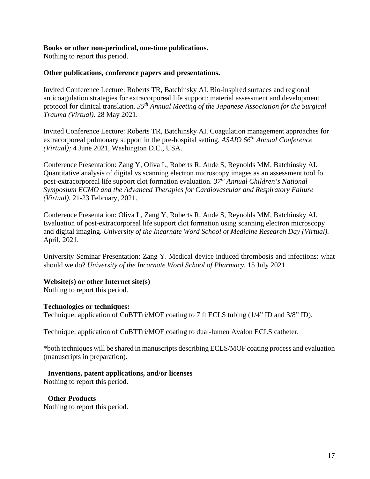#### <span id="page-16-0"></span>**Books or other non-periodical, one-time publications.**

Nothing to report this period.

#### <span id="page-16-1"></span>**Other publications, conference papers and presentations.**

Invited Conference Lecture: Roberts TR, Batchinsky AI. Bio-inspired surfaces and regional anticoagulation strategies for extracorporeal life support: material assessment and development protocol for clinical translation. *35th Annual Meeting of the Japanese Association for the Surgical Trauma (Virtual).* 28 May 2021.

Invited Conference Lecture: Roberts TR, Batchinsky AI. Coagulation management approaches for extracorporeal pulmonary support in the pre-hospital setting. *ASAIO 66th Annual Conference (Virtual);* 4 June 2021, Washington D.C., USA.

Conference Presentation: Zang Y, Oliva L, Roberts R, Ande S, Reynolds MM, Batchinsky AI. Quantitative analysis of digital vs scanning electron microscopy images as an assessment tool fo post-extracorporeal life support clot formation evaluation. *37th Annual Children's National Symposium ECMO and the Advanced Therapies for Cardiovascular and Respiratory Failure (Virtual).* 21-23 February, 2021.

Conference Presentation: Oliva L, Zang Y, Roberts R, Ande S, Reynolds MM, Batchinsky AI. Evaluation of post-extracorporeal life support clot formation using scanning electron microscopy and digital imaging. *University of the Incarnate Word School of Medicine Research Day (Virtual).*  April, 2021.

University Seminar Presentation: Zang Y. Medical device induced thrombosis and infections: what should we do? *University of the Incarnate Word School of Pharmacy.* 15 July 2021.

#### <span id="page-16-2"></span>**Website(s) or other Internet site(s)**

Nothing to report this period.

#### <span id="page-16-3"></span>**Technologies or techniques:**

Technique: application of CuBTTri/MOF coating to 7 ft ECLS tubing (1/4" ID and 3/8" ID).

Technique: application of CuBTTri/MOF coating to dual-lumen Avalon ECLS catheter.

*\**both techniques will be shared in manuscripts describing ECLS/MOF coating process and evaluation (manuscripts in preparation).

#### <span id="page-16-4"></span>**Inventions, patent applications, and/or licenses**

Nothing to report this period.

<span id="page-16-5"></span>**Other Products** 

Nothing to report this period.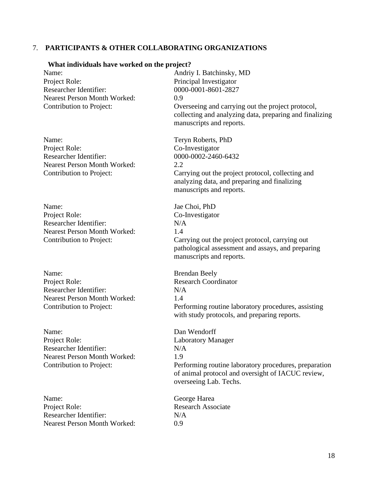#### <span id="page-17-0"></span>7. **PARTICIPANTS & OTHER COLLABORATING ORGANIZATIONS**

#### <span id="page-17-1"></span>**What individuals have worked on the project?**

Name: Andriy I. Batchinsky, MD Project Role: Principal Investigator Researcher Identifier: 0000-0001-8601-2827 Nearest Person Month Worked: 0.9

Name: Teryn Roberts, PhD Project Role: Co-Investigator Researcher Identifier: 0000-0002-2460-6432 Nearest Person Month Worked: 2.2

Name: Jae Choi, PhD Project Role: Co-Investigator Researcher Identifier: N/A Nearest Person Month Worked: 1.4

Name: Brendan Beely Project Role: Research Coordinator Researcher Identifier: N/A Nearest Person Month Worked: 1.4

Name: Dan Wendorff Project Role: Laboratory Manager Researcher Identifier: N/A Nearest Person Month Worked: 1.9

Name: George Harea Project Role: Research Associate Researcher Identifier: N/A Nearest Person Month Worked: 0.9

Contribution to Project: Overseeing and carrying out the project protocol, collecting and analyzing data, preparing and finalizing manuscripts and reports.

Contribution to Project: Carrying out the project protocol, collecting and analyzing data, and preparing and finalizing manuscripts and reports.

Contribution to Project: Carrying out the project protocol, carrying out pathological assessment and assays, and preparing manuscripts and reports.

Contribution to Project: Performing routine laboratory procedures, assisting with study protocols, and preparing reports.

Contribution to Project: Performing routine laboratory procedures, preparation of animal protocol and oversight of IACUC review, overseeing Lab. Techs.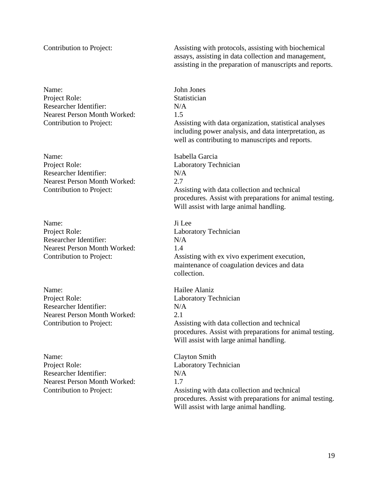Name: John Jones Project Role: Statistician Researcher Identifier: N/A Nearest Person Month Worked: 1.5

Name: Isabella Garcia<br>Proiect Role: Laboratory Tec Researcher Identifier: N/A Nearest Person Month Worked: 2.7

Name: Ji Lee Project Role: Laboratory Technician Researcher Identifier: N/A Nearest Person Month Worked: 14

Name: Hailee Alaniz Project Role: Laboratory Technician Researcher Identifier: N/A Nearest Person Month Worked: 2.1

Name: Clayton Smith Project Role: Laboratory Technician Researcher Identifier: N/A Nearest Person Month Worked: 1.7

Contribution to Project: Assisting with protocols, assisting with biochemical assays, assisting in data collection and management, assisting in the preparation of manuscripts and reports.

Contribution to Project: Assisting with data organization, statistical analyses including power analysis, and data interpretation, as well as contributing to manuscripts and reports.

Laboratory Technician Contribution to Project: Assisting with data collection and technical procedures. Assist with preparations for animal testing. Will assist with large animal handling.

Contribution to Project: Assisting with ex vivo experiment execution, maintenance of coagulation devices and data collection.

Contribution to Project: Assisting with data collection and technical procedures. Assist with preparations for animal testing. Will assist with large animal handling.

Contribution to Project: Assisting with data collection and technical procedures. Assist with preparations for animal testing. Will assist with large animal handling.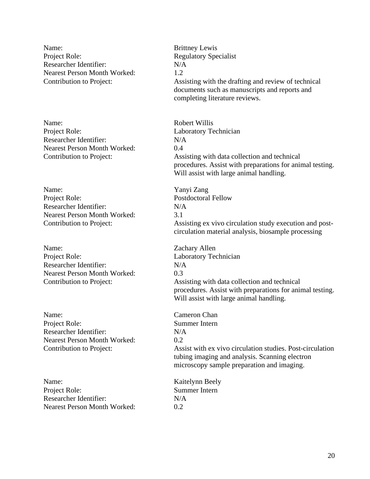Name: Brittney Lewis Project Role: Regulatory Specialist Researcher Identifier: N/A Nearest Person Month Worked: 1.2

Name: Robert Willis Project Role: Laboratory Technician Researcher Identifier: N/A Nearest Person Month Worked: 0.4

Name: Yanyi Zang Project Role: Postdoctoral Fellow Researcher Identifier: N/A Nearest Person Month Worked: 3.1

Name: Zachary Allen Project Role: Laboratory Technician Researcher Identifier: N/A Nearest Person Month Worked: 0.3

Name: Cameron Chan Project Role: Summer Intern Researcher Identifier: N/A Nearest Person Month Worked: 0.2

Name: Kaitelynn Beely Project Role: Summer Intern Researcher Identifier: N/A Nearest Person Month Worked: 0.2

Contribution to Project: Assisting with the drafting and review of technical documents such as manuscripts and reports and completing literature reviews.

Contribution to Project: Assisting with data collection and technical procedures. Assist with preparations for animal testing. Will assist with large animal handling.

Contribution to Project: Assisting ex vivo circulation study execution and postcirculation material analysis, biosample processing

Contribution to Project: Assisting with data collection and technical procedures. Assist with preparations for animal testing. Will assist with large animal handling.

Contribution to Project: Assist with ex vivo circulation studies. Post-circulation tubing imaging and analysis. Scanning electron microscopy sample preparation and imaging.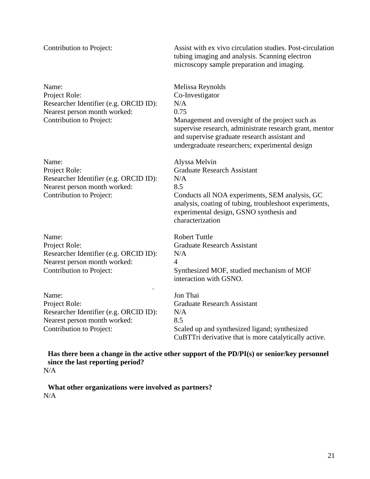| Contribution to Project:                                                                                                     | Assist with ex vivo circulation studies. Post-circulation<br>tubing imaging and analysis. Scanning electron<br>microscopy sample preparation and imaging.                                                                                                           |
|------------------------------------------------------------------------------------------------------------------------------|---------------------------------------------------------------------------------------------------------------------------------------------------------------------------------------------------------------------------------------------------------------------|
| Name:<br>Project Role:<br>Researcher Identifier (e.g. ORCID ID):<br>Nearest person month worked:<br>Contribution to Project: | Melissa Reynolds<br>Co-Investigator<br>N/A<br>0.75<br>Management and oversight of the project such as<br>supervise research, administrate research grant, mentor<br>and supervise graduate research assistant and<br>undergraduate researchers; experimental design |
| Name:<br>Project Role:<br>Researcher Identifier (e.g. ORCID ID):<br>Nearest person month worked:<br>Contribution to Project: | Alyssa Melvin<br><b>Graduate Research Assistant</b><br>N/A<br>8.5<br>Conducts all NOA experiments, SEM analysis, GC<br>analysis, coating of tubing, troubleshoot experiments,<br>experimental design, GSNO synthesis and<br>characterization                        |
| Name:<br>Project Role:<br>Researcher Identifier (e.g. ORCID ID):<br>Nearest person month worked:<br>Contribution to Project: | <b>Robert Tuttle</b><br><b>Graduate Research Assistant</b><br>N/A<br>$\overline{4}$<br>Synthesized MOF, studied mechanism of MOF<br>interaction with GSNO.                                                                                                          |
| Name:<br>Project Role:<br>Researcher Identifier (e.g. ORCID ID):<br>Nearest person month worked:<br>Contribution to Project: | Jon Thai<br><b>Graduate Research Assistant</b><br>N/A<br>8.5<br>Scaled up and synthesized ligand; synthesized<br>CuBTTri derivative that is more catalytically active.                                                                                              |

<span id="page-20-0"></span>**Has there been a change in the active other support of the PD/PI(s) or senior/key personnel since the last reporting period?**  N/A

<span id="page-20-2"></span><span id="page-20-1"></span>**What other organizations were involved as partners?**  N/A